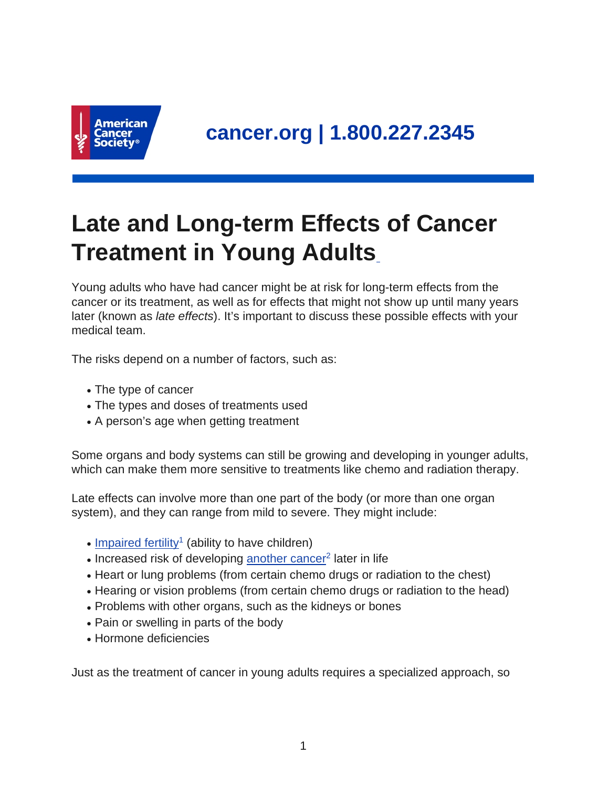

## **Late and Long-term Effects of Cancer Treatment in Young Adults**

Young adults who have had cancer might be at risk for long-term effects from the cancer or its treatment, as well as for effects that might not show up until many years later (known as late effects). It's important to discuss these possible effects with your medical team.

The risks depend on a number of factors, such as:

- The type of cancer
- The types and doses of treatments used
- A person's age when getting treatment

Some organs and body systems can still be growing and developing in younger adults, which can make them more sensitive to treatments like chemo and radiation therapy.

Late effects can involve more than one part of the body (or more than one organ system), and they can range from mild to severe. They might include:

- $\cdot$  [Impaired fertility](https://www.cancer.org/treatment/treatments-and-side-effects/physical-side-effects/fertility-and-sexual-side-effects.html)<sup>1</sup> (ability to have children)
- Increased risk of developing [another cancer](https://www.cancer.org/treatment/survivorship-during-and-after-treatment/long-term-health-concerns/second-cancers-in-adults.html)<sup>2</sup> later in life
- Heart or lung problems (from certain chemo drugs or radiation to the chest)
- Hearing or vision problems (from certain chemo drugs or radiation to the head)
- Problems with other organs, such as the kidneys or bones
- Pain or swelling in parts of the body
- Hormone deficiencies

Just as the treatment of cancer in young adults requires a specialized approach, so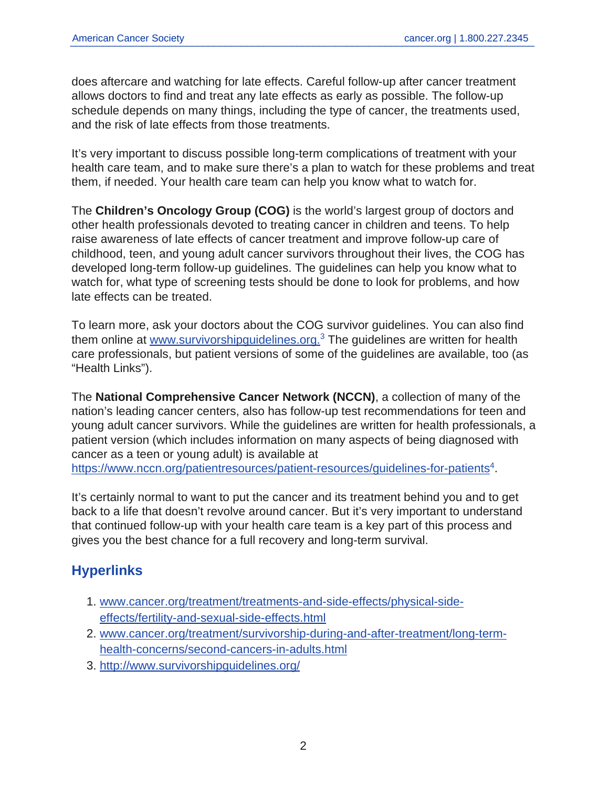does aftercare and watching for late effects. Careful follow-up after cancer treatment allows doctors to find and treat any late effects as early as possible. The follow-up schedule depends on many things, including the type of cancer, the treatments used, and the risk of late effects from those treatments.

It's very important to discuss possible long-term complications of treatment with your health care team, and to make sure there's a plan to watch for these problems and treat them, if needed. Your health care team can help you know what to watch for.

The **Children's Oncology Group (COG)** is the world's largest group of doctors and other health professionals devoted to treating cancer in children and teens. To help raise awareness of late effects of cancer treatment and improve follow-up care of childhood, teen, and young adult cancer survivors throughout their lives, the COG has developed long-term follow-up guidelines. The guidelines can help you know what to watch for, what type of screening tests should be done to look for problems, and how late effects can be treated.

To learn more, ask your doctors about the COG survivor guidelines. You can also find them online at [www.survivorshipguidelines.org.](http://www.survivorshipguidelines.org/)<sup>3</sup> The guidelines are written for health care professionals, but patient versions of some of the guidelines are available, too (as "Health Links").

The **National Comprehensive Cancer Network (NCCN)**, a collection of many of the nation's leading cancer centers, also has follow-up test recommendations for teen and young adult cancer survivors. While the guidelines are written for health professionals, a patient version (which includes information on many aspects of being diagnosed with cancer as a teen or young adult) is available at <https://www.nccn.org/patientresources/patient-resources/guidelines-for-patients><sup>4</sup>.

It's certainly normal to want to put the cancer and its treatment behind you and to get back to a life that doesn't revolve around cancer. But it's very important to understand that continued follow-up with your health care team is a key part of this process and gives you the best chance for a full recovery and long-term survival.

## **Hyperlinks**

- 1. [www.cancer.org/treatment/treatments-and-side-effects/physical-side](https://www.cancer.org/treatment/treatments-and-side-effects/physical-side-effects/fertility-and-sexual-side-effects.html)[effects/fertility-and-sexual-side-effects.html](https://www.cancer.org/treatment/treatments-and-side-effects/physical-side-effects/fertility-and-sexual-side-effects.html)
- 2. [www.cancer.org/treatment/survivorship-during-and-after-treatment/long-term](https://www.cancer.org/treatment/survivorship-during-and-after-treatment/long-term-health-concerns/second-cancers-in-adults.html)[health-concerns/second-cancers-in-adults.html](https://www.cancer.org/treatment/survivorship-during-and-after-treatment/long-term-health-concerns/second-cancers-in-adults.html)
- 3. <http://www.survivorshipguidelines.org/>